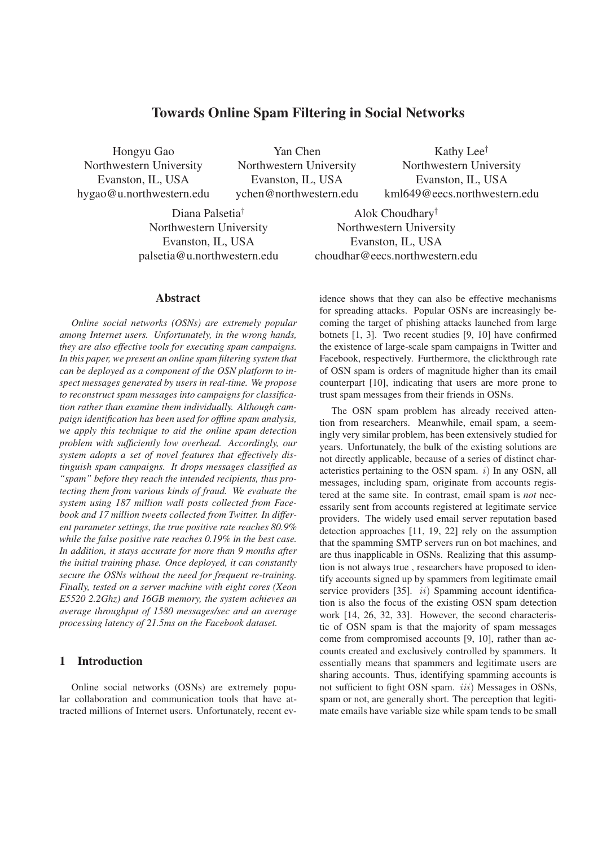# **Towards Online Spam Filtering in Social Networks**

Hongyu Gao Northwestern University Evanston, IL, USA hygao@u.northwestern.edu

Yan Chen Northwestern University Evanston, IL, USA ychen@northwestern.edu

Kathy Lee† Northwestern University Evanston, IL, USA kml649@eecs.northwestern.edu

Diana Palsetia† Northwestern University Evanston, IL, USA palsetia@u.northwestern.edu

Alok Choudhary† Northwestern University Evanston, IL, USA choudhar@eecs.northwestern.edu

#### **Abstract**

*Online social networks (OSNs) are extremely popular among Internet users. Unfortunately, in the wrong hands, they are also effective tools for executing spam campaigns. In this paper, we present an online spam filtering system that can be deployed as a component of the OSN platform to inspect messages generated by users in real-time. We propose to reconstruct spam messages into campaigns for classification rather than examine them individually. Although campaign identification has been used for offline spam analysis, we apply this technique to aid the online spam detection problem with sufficiently low overhead. Accordingly, our system adopts a set of novel features that effectively distinguish spam campaigns. It drops messages classified as "spam" before they reach the intended recipients, thus protecting them from various kinds of fraud. We evaluate the system using 187 million wall posts collected from Facebook and 17 million tweets collected from Twitter. In different parameter settings, the true positive rate reaches 80.9% while the false positive rate reaches 0.19% in the best case. In addition, it stays accurate for more than 9 months after the initial training phase. Once deployed, it can constantly secure the OSNs without the need for frequent re-training. Finally, tested on a server machine with eight cores (Xeon E5520 2.2Ghz) and 16GB memory, the system achieves an average throughput of 1580 messages/sec and an average processing latency of 21.5ms on the Facebook dataset.*

# **1 Introduction**

Online social networks (OSNs) are extremely popular collaboration and communication tools that have attracted millions of Internet users. Unfortunately, recent evidence shows that they can also be effective mechanisms for spreading attacks. Popular OSNs are increasingly becoming the target of phishing attacks launched from large botnets [1, 3]. Two recent studies [9, 10] have confirmed the existence of large-scale spam campaigns in Twitter and Facebook, respectively. Furthermore, the clickthrough rate of OSN spam is orders of magnitude higher than its email counterpart [10], indicating that users are more prone to trust spam messages from their friends in OSNs.

The OSN spam problem has already received attention from researchers. Meanwhile, email spam, a seemingly very similar problem, has been extensively studied for years. Unfortunately, the bulk of the existing solutions are not directly applicable, because of a series of distinct characteristics pertaining to the OSN spam.  $i$ ) In any OSN, all messages, including spam, originate from accounts registered at the same site. In contrast, email spam is *not* necessarily sent from accounts registered at legitimate service providers. The widely used email server reputation based detection approaches [11, 19, 22] rely on the assumption that the spamming SMTP servers run on bot machines, and are thus inapplicable in OSNs. Realizing that this assumption is not always true , researchers have proposed to identify accounts signed up by spammers from legitimate email service providers [35]. *ii*) Spamming account identification is also the focus of the existing OSN spam detection work [14, 26, 32, 33]. However, the second characteristic of OSN spam is that the majority of spam messages come from compromised accounts [9, 10], rather than accounts created and exclusively controlled by spammers. It essentially means that spammers and legitimate users are sharing accounts. Thus, identifying spamming accounts is not sufficient to fight OSN spam. *iii*) Messages in OSNs, spam or not, are generally short. The perception that legitimate emails have variable size while spam tends to be small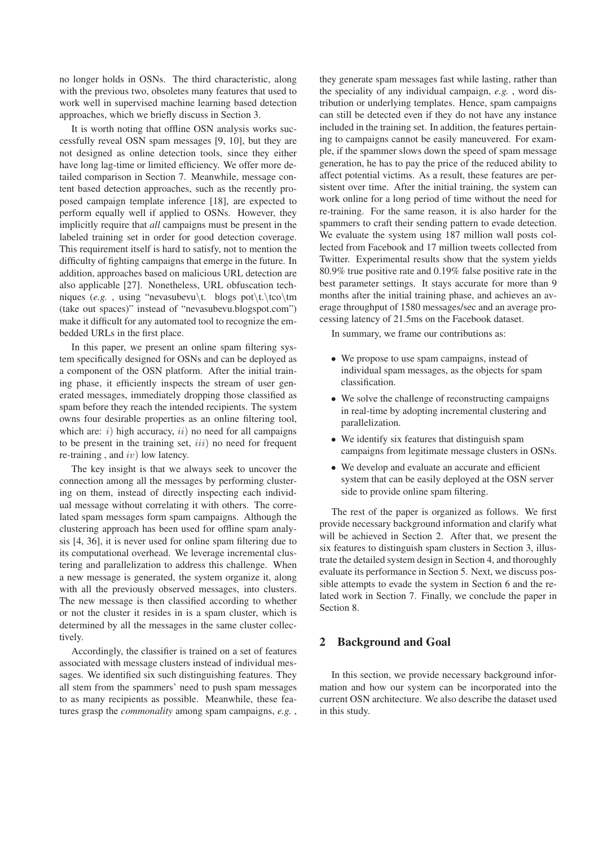no longer holds in OSNs. The third characteristic, along with the previous two, obsoletes many features that used to work well in supervised machine learning based detection approaches, which we briefly discuss in Section 3.

It is worth noting that offline OSN analysis works successfully reveal OSN spam messages [9, 10], but they are not designed as online detection tools, since they either have long lag-time or limited efficiency. We offer more detailed comparison in Section 7. Meanwhile, message content based detection approaches, such as the recently proposed campaign template inference [18], are expected to perform equally well if applied to OSNs. However, they implicitly require that *all* campaigns must be present in the labeled training set in order for good detection coverage. This requirement itself is hard to satisfy, not to mention the difficulty of fighting campaigns that emerge in the future. In addition, approaches based on malicious URL detection are also applicable [27]. Nonetheless, URL obfuscation techniques (*e.g.*, using "nevasubevu\t. blogs pot\t.\tco\tm (take out spaces)" instead of "nevasubevu.blogspot.com") make it difficult for any automated tool to recognize the embedded URLs in the first place.

In this paper, we present an online spam filtering system specifically designed for OSNs and can be deployed as a component of the OSN platform. After the initial training phase, it efficiently inspects the stream of user generated messages, immediately dropping those classified as spam before they reach the intended recipients. The system owns four desirable properties as an online filtering tool, which are:  $i)$  high accuracy,  $ii)$  no need for all campaigns to be present in the training set,  $iii)$  no need for frequent re-training, and  $iv$ ) low latency.

The key insight is that we always seek to uncover the connection among all the messages by performing clustering on them, instead of directly inspecting each individual message without correlating it with others. The correlated spam messages form spam campaigns. Although the clustering approach has been used for offline spam analysis [4, 36], it is never used for online spam filtering due to its computational overhead. We leverage incremental clustering and parallelization to address this challenge. When a new message is generated, the system organize it, along with all the previously observed messages, into clusters. The new message is then classified according to whether or not the cluster it resides in is a spam cluster, which is determined by all the messages in the same cluster collectively.

Accordingly, the classifier is trained on a set of features associated with message clusters instead of individual messages. We identified six such distinguishing features. They all stem from the spammers' need to push spam messages to as many recipients as possible. Meanwhile, these features grasp the *commonality* among spam campaigns, *e.g.* , they generate spam messages fast while lasting, rather than the speciality of any individual campaign, *e.g.* , word distribution or underlying templates. Hence, spam campaigns can still be detected even if they do not have any instance included in the training set. In addition, the features pertaining to campaigns cannot be easily maneuvered. For example, if the spammer slows down the speed of spam message generation, he has to pay the price of the reduced ability to affect potential victims. As a result, these features are persistent over time. After the initial training, the system can work online for a long period of time without the need for re-training. For the same reason, it is also harder for the spammers to craft their sending pattern to evade detection. We evaluate the system using 187 million wall posts collected from Facebook and 17 million tweets collected from Twitter. Experimental results show that the system yields 80.9% true positive rate and 0.19% false positive rate in the best parameter settings. It stays accurate for more than 9 months after the initial training phase, and achieves an average throughput of 1580 messages/sec and an average processing latency of 21.5ms on the Facebook dataset.

In summary, we frame our contributions as:

- We propose to use spam campaigns, instead of individual spam messages, as the objects for spam classification.
- We solve the challenge of reconstructing campaigns in real-time by adopting incremental clustering and parallelization.
- We identify six features that distinguish spam campaigns from legitimate message clusters in OSNs.
- We develop and evaluate an accurate and efficient system that can be easily deployed at the OSN server side to provide online spam filtering.

The rest of the paper is organized as follows. We first provide necessary background information and clarify what will be achieved in Section 2. After that, we present the six features to distinguish spam clusters in Section 3, illustrate the detailed system design in Section 4, and thoroughly evaluate its performance in Section 5. Next, we discuss possible attempts to evade the system in Section 6 and the related work in Section 7. Finally, we conclude the paper in Section 8.

# **2 Background and Goal**

In this section, we provide necessary background information and how our system can be incorporated into the current OSN architecture. We also describe the dataset used in this study.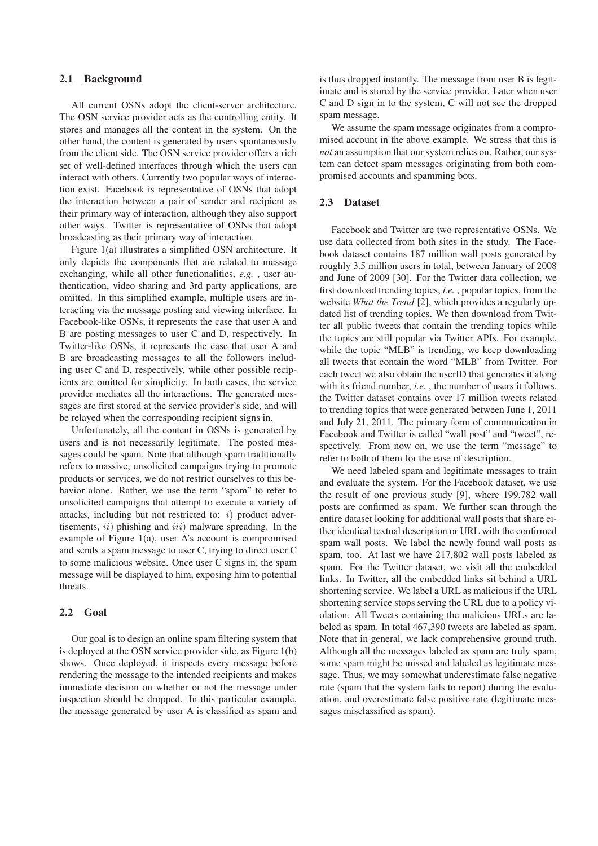#### **2.1 Background**

All current OSNs adopt the client-server architecture. The OSN service provider acts as the controlling entity. It stores and manages all the content in the system. On the other hand, the content is generated by users spontaneously from the client side. The OSN service provider offers a rich set of well-defined interfaces through which the users can interact with others. Currently two popular ways of interaction exist. Facebook is representative of OSNs that adopt the interaction between a pair of sender and recipient as their primary way of interaction, although they also support other ways. Twitter is representative of OSNs that adopt broadcasting as their primary way of interaction.

Figure 1(a) illustrates a simplified OSN architecture. It only depicts the components that are related to message exchanging, while all other functionalities, *e.g.* , user authentication, video sharing and 3rd party applications, are omitted. In this simplified example, multiple users are interacting via the message posting and viewing interface. In Facebook-like OSNs, it represents the case that user A and B are posting messages to user C and D, respectively. In Twitter-like OSNs, it represents the case that user A and B are broadcasting messages to all the followers including user C and D, respectively, while other possible recipients are omitted for simplicity. In both cases, the service provider mediates all the interactions. The generated messages are first stored at the service provider's side, and will be relayed when the corresponding recipient signs in.

Unfortunately, all the content in OSNs is generated by users and is not necessarily legitimate. The posted messages could be spam. Note that although spam traditionally refers to massive, unsolicited campaigns trying to promote products or services, we do not restrict ourselves to this behavior alone. Rather, we use the term "spam" to refer to unsolicited campaigns that attempt to execute a variety of attacks, including but not restricted to:  $i)$  product advertisements,  $ii)$  phishing and  $iii)$  malware spreading. In the example of Figure 1(a), user A's account is compromised and sends a spam message to user C, trying to direct user C to some malicious website. Once user C signs in, the spam message will be displayed to him, exposing him to potential threats.

#### **2.2 Goal**

Our goal is to design an online spam filtering system that is deployed at the OSN service provider side, as Figure 1(b) shows. Once deployed, it inspects every message before rendering the message to the intended recipients and makes immediate decision on whether or not the message under inspection should be dropped. In this particular example, the message generated by user A is classified as spam and is thus dropped instantly. The message from user B is legitimate and is stored by the service provider. Later when user C and D sign in to the system, C will not see the dropped spam message.

We assume the spam message originates from a compromised account in the above example. We stress that this is *not* an assumption that our system relies on. Rather, our system can detect spam messages originating from both compromised accounts and spamming bots.

### **2.3 Dataset**

Facebook and Twitter are two representative OSNs. We use data collected from both sites in the study. The Facebook dataset contains 187 million wall posts generated by roughly 3.5 million users in total, between January of 2008 and June of 2009 [30]. For the Twitter data collection, we first download trending topics, *i.e.* , popular topics, from the website *What the Trend* [2], which provides a regularly updated list of trending topics. We then download from Twitter all public tweets that contain the trending topics while the topics are still popular via Twitter APIs. For example, while the topic "MLB" is trending, we keep downloading all tweets that contain the word "MLB" from Twitter. For each tweet we also obtain the userID that generates it along with its friend number, *i.e.* , the number of users it follows. the Twitter dataset contains over 17 million tweets related to trending topics that were generated between June 1, 2011 and July 21, 2011. The primary form of communication in Facebook and Twitter is called "wall post" and "tweet", respectively. From now on, we use the term "message" to refer to both of them for the ease of description.

We need labeled spam and legitimate messages to train and evaluate the system. For the Facebook dataset, we use the result of one previous study [9], where 199,782 wall posts are confirmed as spam. We further scan through the entire dataset looking for additional wall posts that share either identical textual description or URL with the confirmed spam wall posts. We label the newly found wall posts as spam, too. At last we have 217,802 wall posts labeled as spam. For the Twitter dataset, we visit all the embedded links. In Twitter, all the embedded links sit behind a URL shortening service. We label a URL as malicious if the URL shortening service stops serving the URL due to a policy violation. All Tweets containing the malicious URLs are labeled as spam. In total 467,390 tweets are labeled as spam. Note that in general, we lack comprehensive ground truth. Although all the messages labeled as spam are truly spam, some spam might be missed and labeled as legitimate message. Thus, we may somewhat underestimate false negative rate (spam that the system fails to report) during the evaluation, and overestimate false positive rate (legitimate messages misclassified as spam).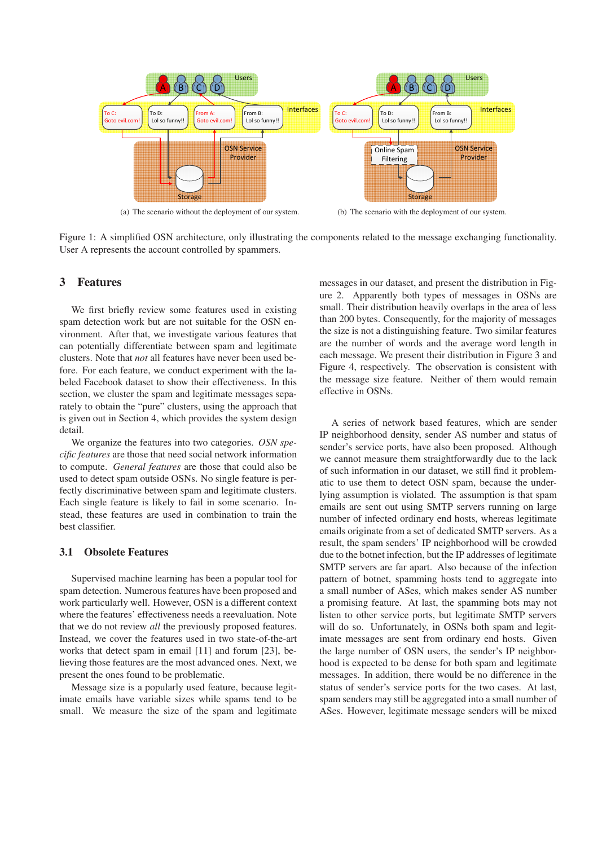

(a) The scenario without the deployment of our system.

(b) The scenario with the deployment of our system.

Figure 1: A simplified OSN architecture, only illustrating the components related to the message exchanging functionality. User A represents the account controlled by spammers.

# **3 Features**

We first briefly review some features used in existing spam detection work but are not suitable for the OSN environment. After that, we investigate various features that can potentially differentiate between spam and legitimate clusters. Note that *not* all features have never been used before. For each feature, we conduct experiment with the labeled Facebook dataset to show their effectiveness. In this section, we cluster the spam and legitimate messages separately to obtain the "pure" clusters, using the approach that is given out in Section 4, which provides the system design detail.

We organize the features into two categories. *OSN specific features* are those that need social network information to compute. *General features* are those that could also be used to detect spam outside OSNs. No single feature is perfectly discriminative between spam and legitimate clusters. Each single feature is likely to fail in some scenario. Instead, these features are used in combination to train the best classifier.

### **3.1 Obsolete Features**

Supervised machine learning has been a popular tool for spam detection. Numerous features have been proposed and work particularly well. However, OSN is a different context where the features' effectiveness needs a reevaluation. Note that we do not review *all* the previously proposed features. Instead, we cover the features used in two state-of-the-art works that detect spam in email [11] and forum [23], believing those features are the most advanced ones. Next, we present the ones found to be problematic.

Message size is a popularly used feature, because legitimate emails have variable sizes while spams tend to be small. We measure the size of the spam and legitimate messages in our dataset, and present the distribution in Figure 2. Apparently both types of messages in OSNs are small. Their distribution heavily overlaps in the area of less than 200 bytes. Consequently, for the majority of messages the size is not a distinguishing feature. Two similar features are the number of words and the average word length in each message. We present their distribution in Figure 3 and Figure 4, respectively. The observation is consistent with the message size feature. Neither of them would remain effective in OSNs.

A series of network based features, which are sender IP neighborhood density, sender AS number and status of sender's service ports, have also been proposed. Although we cannot measure them straightforwardly due to the lack of such information in our dataset, we still find it problematic to use them to detect OSN spam, because the underlying assumption is violated. The assumption is that spam emails are sent out using SMTP servers running on large number of infected ordinary end hosts, whereas legitimate emails originate from a set of dedicated SMTP servers. As a result, the spam senders' IP neighborhood will be crowded due to the botnet infection, but the IP addresses of legitimate SMTP servers are far apart. Also because of the infection pattern of botnet, spamming hosts tend to aggregate into a small number of ASes, which makes sender AS number a promising feature. At last, the spamming bots may not listen to other service ports, but legitimate SMTP servers will do so. Unfortunately, in OSNs both spam and legitimate messages are sent from ordinary end hosts. Given the large number of OSN users, the sender's IP neighborhood is expected to be dense for both spam and legitimate messages. In addition, there would be no difference in the status of sender's service ports for the two cases. At last, spam senders may still be aggregated into a small number of ASes. However, legitimate message senders will be mixed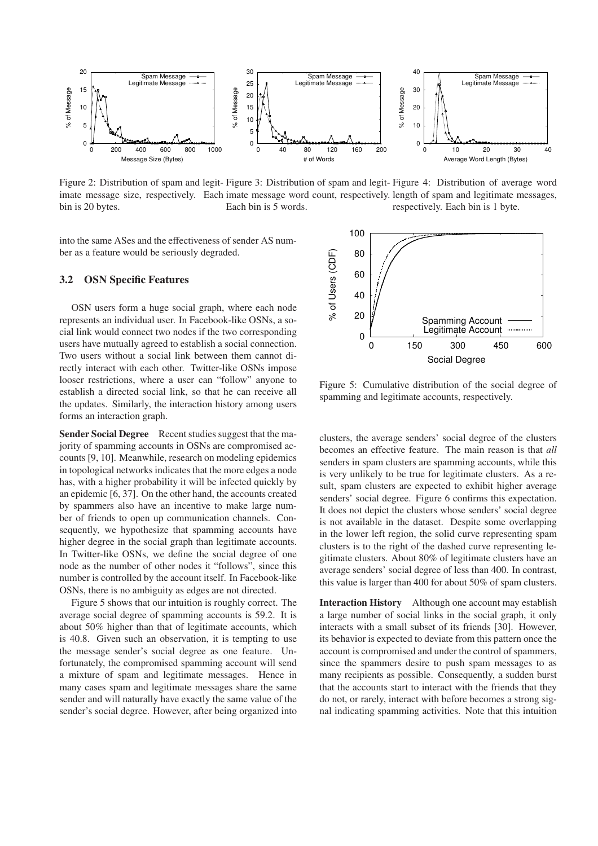

Figure 2: Distribution of spam and legit-Figure 3: Distribution of spam and legit-Figure 4: Distribution of average word imate message size, respectively. Each imate message word count, respectively. length of spam and legitimate messages, bin is 20 bytes. Each bin is 5 words. respectively. Each bin is 1 byte.

into the same ASes and the effectiveness of sender AS number as a feature would be seriously degraded.

#### **3.2 OSN Specific Features**

OSN users form a huge social graph, where each node represents an individual user. In Facebook-like OSNs, a social link would connect two nodes if the two corresponding users have mutually agreed to establish a social connection. Two users without a social link between them cannot directly interact with each other. Twitter-like OSNs impose looser restrictions, where a user can "follow" anyone to establish a directed social link, so that he can receive all the updates. Similarly, the interaction history among users forms an interaction graph.

**Sender Social Degree** Recent studies suggest that the majority of spamming accounts in OSNs are compromised accounts [9, 10]. Meanwhile, research on modeling epidemics in topological networks indicates that the more edges a node has, with a higher probability it will be infected quickly by an epidemic [6, 37]. On the other hand, the accounts created by spammers also have an incentive to make large number of friends to open up communication channels. Consequently, we hypothesize that spamming accounts have higher degree in the social graph than legitimate accounts. In Twitter-like OSNs, we define the social degree of one node as the number of other nodes it "follows", since this number is controlled by the account itself. In Facebook-like OSNs, there is no ambiguity as edges are not directed.

Figure 5 shows that our intuition is roughly correct. The average social degree of spamming accounts is 59.2. It is about 50% higher than that of legitimate accounts, which is 40.8. Given such an observation, it is tempting to use the message sender's social degree as one feature. Unfortunately, the compromised spamming account will send a mixture of spam and legitimate messages. Hence in many cases spam and legitimate messages share the same sender and will naturally have exactly the same value of the sender's social degree. However, after being organized into



Figure 5: Cumulative distribution of the social degree of spamming and legitimate accounts, respectively.

clusters, the average senders' social degree of the clusters becomes an effective feature. The main reason is that *all* senders in spam clusters are spamming accounts, while this is very unlikely to be true for legitimate clusters. As a result, spam clusters are expected to exhibit higher average senders' social degree. Figure 6 confirms this expectation. It does not depict the clusters whose senders' social degree is not available in the dataset. Despite some overlapping in the lower left region, the solid curve representing spam clusters is to the right of the dashed curve representing legitimate clusters. About 80% of legitimate clusters have an average senders' social degree of less than 400. In contrast, this value is larger than 400 for about 50% of spam clusters.

**Interaction History** Although one account may establish a large number of social links in the social graph, it only interacts with a small subset of its friends [30]. However, its behavior is expected to deviate from this pattern once the account is compromised and under the control of spammers, since the spammers desire to push spam messages to as many recipients as possible. Consequently, a sudden burst that the accounts start to interact with the friends that they do not, or rarely, interact with before becomes a strong signal indicating spamming activities. Note that this intuition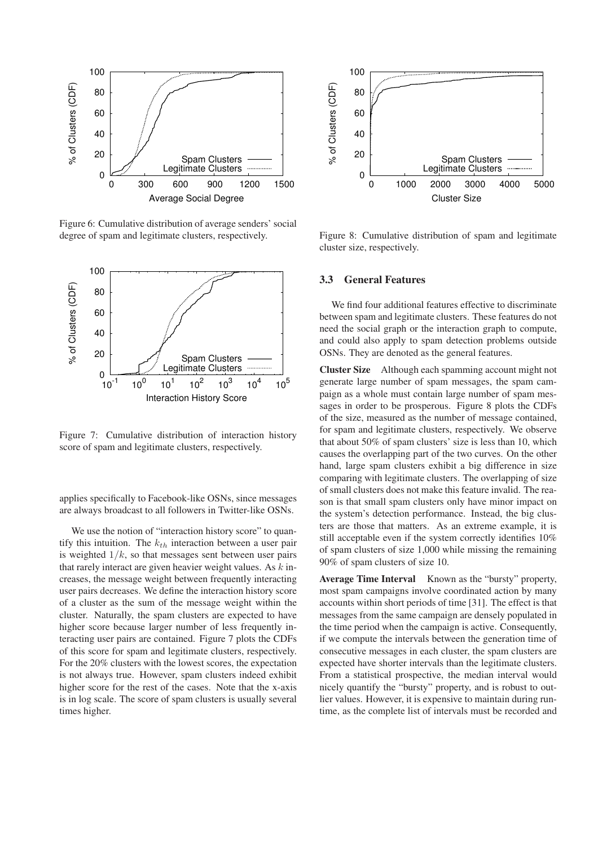

Figure 6: Cumulative distribution of average senders' social degree of spam and legitimate clusters, respectively.



Figure 7: Cumulative distribution of interaction history score of spam and legitimate clusters, respectively.

applies specifically to Facebook-like OSNs, since messages are always broadcast to all followers in Twitter-like OSNs.

We use the notion of "interaction history score" to quantify this intuition. The  $k_{th}$  interaction between a user pair is weighted  $1/k$ , so that messages sent between user pairs that rarely interact are given heavier weight values. As  $k$  increases, the message weight between frequently interacting user pairs decreases. We define the interaction history score of a cluster as the sum of the message weight within the cluster. Naturally, the spam clusters are expected to have higher score because larger number of less frequently interacting user pairs are contained. Figure 7 plots the CDFs of this score for spam and legitimate clusters, respectively. For the 20% clusters with the lowest scores, the expectation is not always true. However, spam clusters indeed exhibit higher score for the rest of the cases. Note that the x-axis is in log scale. The score of spam clusters is usually several times higher.



Figure 8: Cumulative distribution of spam and legitimate cluster size, respectively.

### **3.3 General Features**

We find four additional features effective to discriminate between spam and legitimate clusters. These features do not need the social graph or the interaction graph to compute, and could also apply to spam detection problems outside OSNs. They are denoted as the general features.

**Cluster Size** Although each spamming account might not generate large number of spam messages, the spam campaign as a whole must contain large number of spam messages in order to be prosperous. Figure 8 plots the CDFs of the size, measured as the number of message contained, for spam and legitimate clusters, respectively. We observe that about 50% of spam clusters' size is less than 10, which causes the overlapping part of the two curves. On the other hand, large spam clusters exhibit a big difference in size comparing with legitimate clusters. The overlapping of size of small clusters does not make this feature invalid. The reason is that small spam clusters only have minor impact on the system's detection performance. Instead, the big clusters are those that matters. As an extreme example, it is still acceptable even if the system correctly identifies 10% of spam clusters of size 1,000 while missing the remaining 90% of spam clusters of size 10.

**Average Time Interval** Known as the "bursty" property, most spam campaigns involve coordinated action by many accounts within short periods of time [31]. The effect is that messages from the same campaign are densely populated in the time period when the campaign is active. Consequently, if we compute the intervals between the generation time of consecutive messages in each cluster, the spam clusters are expected have shorter intervals than the legitimate clusters. From a statistical prospective, the median interval would nicely quantify the "bursty" property, and is robust to outlier values. However, it is expensive to maintain during runtime, as the complete list of intervals must be recorded and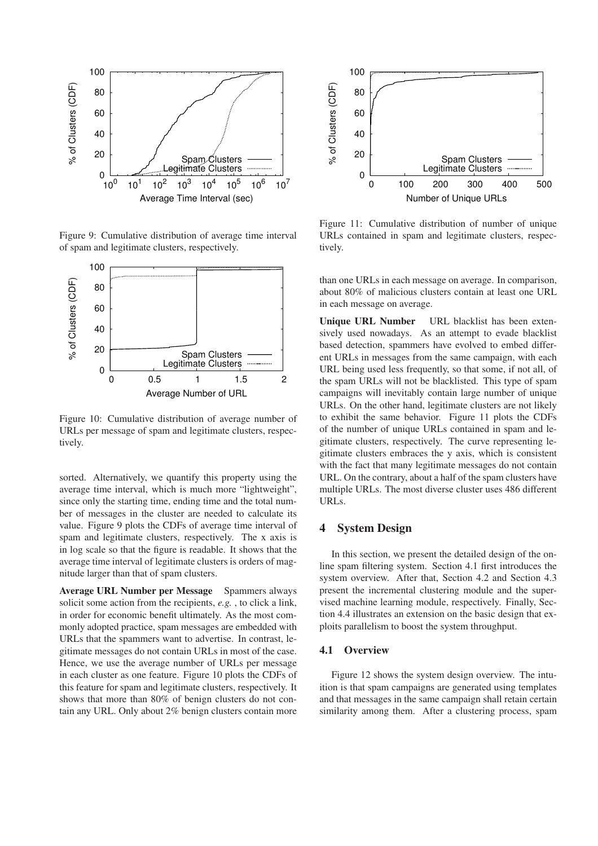

Figure 9: Cumulative distribution of average time interval of spam and legitimate clusters, respectively.



Figure 10: Cumulative distribution of average number of URLs per message of spam and legitimate clusters, respectively.

sorted. Alternatively, we quantify this property using the average time interval, which is much more "lightweight", since only the starting time, ending time and the total number of messages in the cluster are needed to calculate its value. Figure 9 plots the CDFs of average time interval of spam and legitimate clusters, respectively. The x axis is in log scale so that the figure is readable. It shows that the average time interval of legitimate clusters is orders of magnitude larger than that of spam clusters.

**Average URL Number per Message** Spammers always solicit some action from the recipients, *e.g.* , to click a link, in order for economic benefit ultimately. As the most commonly adopted practice, spam messages are embedded with URLs that the spammers want to advertise. In contrast, legitimate messages do not contain URLs in most of the case. Hence, we use the average number of URLs per message in each cluster as one feature. Figure 10 plots the CDFs of this feature for spam and legitimate clusters, respectively. It shows that more than 80% of benign clusters do not contain any URL. Only about 2% benign clusters contain more



Figure 11: Cumulative distribution of number of unique URLs contained in spam and legitimate clusters, respectively.

than one URLs in each message on average. In comparison, about 80% of malicious clusters contain at least one URL in each message on average.

**Unique URL Number** URL blacklist has been extensively used nowadays. As an attempt to evade blacklist based detection, spammers have evolved to embed different URLs in messages from the same campaign, with each URL being used less frequently, so that some, if not all, of the spam URLs will not be blacklisted. This type of spam campaigns will inevitably contain large number of unique URLs. On the other hand, legitimate clusters are not likely to exhibit the same behavior. Figure 11 plots the CDFs of the number of unique URLs contained in spam and legitimate clusters, respectively. The curve representing legitimate clusters embraces the y axis, which is consistent with the fact that many legitimate messages do not contain URL. On the contrary, about a half of the spam clusters have multiple URLs. The most diverse cluster uses 486 different URLs.

### **4 System Design**

In this section, we present the detailed design of the online spam filtering system. Section 4.1 first introduces the system overview. After that, Section 4.2 and Section 4.3 present the incremental clustering module and the supervised machine learning module, respectively. Finally, Section 4.4 illustrates an extension on the basic design that exploits parallelism to boost the system throughput.

### **4.1 Overview**

Figure 12 shows the system design overview. The intuition is that spam campaigns are generated using templates and that messages in the same campaign shall retain certain similarity among them. After a clustering process, spam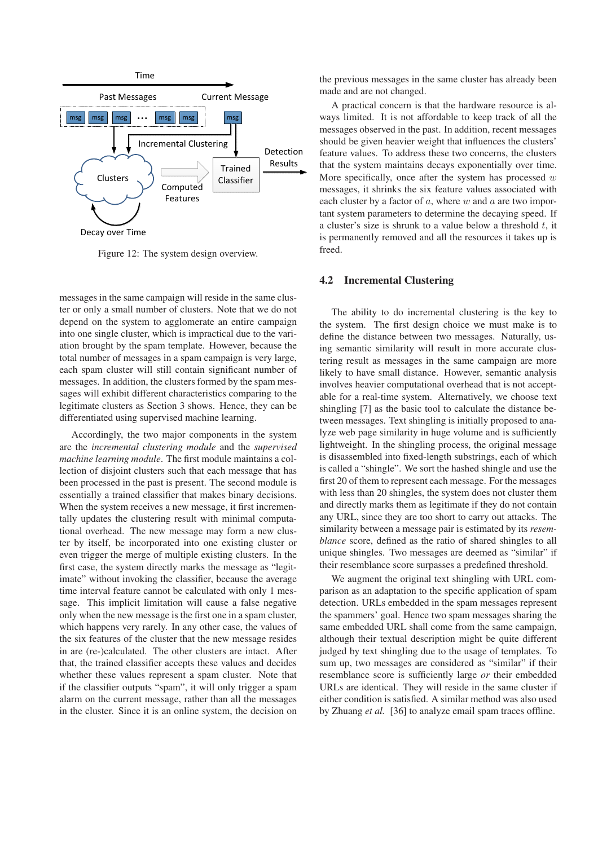

Figure 12: The system design overview.

messages in the same campaign will reside in the same cluster or only a small number of clusters. Note that we do not depend on the system to agglomerate an entire campaign into one single cluster, which is impractical due to the variation brought by the spam template. However, because the total number of messages in a spam campaign is very large, each spam cluster will still contain significant number of messages. In addition, the clusters formed by the spam messages will exhibit different characteristics comparing to the legitimate clusters as Section 3 shows. Hence, they can be differentiated using supervised machine learning.

Accordingly, the two major components in the system are the *incremental clustering module* and the *supervised machine learning module*. The first module maintains a collection of disjoint clusters such that each message that has been processed in the past is present. The second module is essentially a trained classifier that makes binary decisions. When the system receives a new message, it first incrementally updates the clustering result with minimal computational overhead. The new message may form a new cluster by itself, be incorporated into one existing cluster or even trigger the merge of multiple existing clusters. In the first case, the system directly marks the message as "legitimate" without invoking the classifier, because the average time interval feature cannot be calculated with only 1 message. This implicit limitation will cause a false negative only when the new message is the first one in a spam cluster, which happens very rarely. In any other case, the values of the six features of the cluster that the new message resides in are (re-)calculated. The other clusters are intact. After that, the trained classifier accepts these values and decides whether these values represent a spam cluster. Note that if the classifier outputs "spam", it will only trigger a spam alarm on the current message, rather than all the messages in the cluster. Since it is an online system, the decision on the previous messages in the same cluster has already been made and are not changed.

A practical concern is that the hardware resource is always limited. It is not affordable to keep track of all the messages observed in the past. In addition, recent messages should be given heavier weight that influences the clusters' feature values. To address these two concerns, the clusters that the system maintains decays exponentially over time. More specifically, once after the system has processed  $w$ messages, it shrinks the six feature values associated with each cluster by a factor of  $a$ , where  $w$  and  $a$  are two important system parameters to determine the decaying speed. If a cluster's size is shrunk to a value below a threshold  $t$ , it is permanently removed and all the resources it takes up is freed.

### **4.2 Incremental Clustering**

The ability to do incremental clustering is the key to the system. The first design choice we must make is to define the distance between two messages. Naturally, using semantic similarity will result in more accurate clustering result as messages in the same campaign are more likely to have small distance. However, semantic analysis involves heavier computational overhead that is not acceptable for a real-time system. Alternatively, we choose text shingling [7] as the basic tool to calculate the distance between messages. Text shingling is initially proposed to analyze web page similarity in huge volume and is sufficiently lightweight. In the shingling process, the original message is disassembled into fixed-length substrings, each of which is called a "shingle". We sort the hashed shingle and use the first 20 of them to represent each message. For the messages with less than 20 shingles, the system does not cluster them and directly marks them as legitimate if they do not contain any URL, since they are too short to carry out attacks. The similarity between a message pair is estimated by its *resemblance* score, defined as the ratio of shared shingles to all unique shingles. Two messages are deemed as "similar" if their resemblance score surpasses a predefined threshold.

We augment the original text shingling with URL comparison as an adaptation to the specific application of spam detection. URLs embedded in the spam messages represent the spammers' goal. Hence two spam messages sharing the same embedded URL shall come from the same campaign, although their textual description might be quite different judged by text shingling due to the usage of templates. To sum up, two messages are considered as "similar" if their resemblance score is sufficiently large *or* their embedded URLs are identical. They will reside in the same cluster if either condition is satisfied. A similar method was also used by Zhuang *et al.* [36] to analyze email spam traces offline.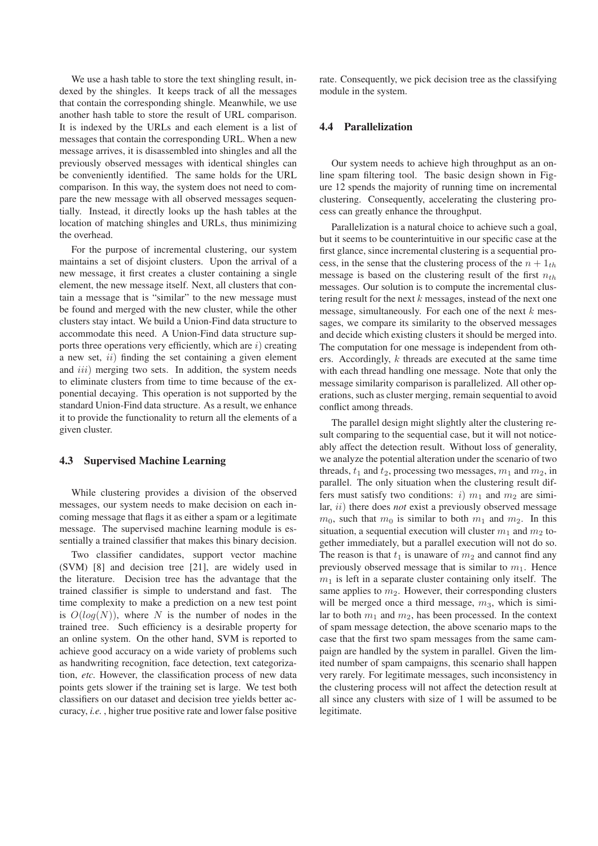We use a hash table to store the text shingling result, indexed by the shingles. It keeps track of all the messages that contain the corresponding shingle. Meanwhile, we use another hash table to store the result of URL comparison. It is indexed by the URLs and each element is a list of messages that contain the corresponding URL. When a new message arrives, it is disassembled into shingles and all the previously observed messages with identical shingles can be conveniently identified. The same holds for the URL comparison. In this way, the system does not need to compare the new message with all observed messages sequentially. Instead, it directly looks up the hash tables at the location of matching shingles and URLs, thus minimizing the overhead.

For the purpose of incremental clustering, our system maintains a set of disjoint clusters. Upon the arrival of a new message, it first creates a cluster containing a single element, the new message itself. Next, all clusters that contain a message that is "similar" to the new message must be found and merged with the new cluster, while the other clusters stay intact. We build a Union-Find data structure to accommodate this need. A Union-Find data structure supports three operations very efficiently, which are  $i$ ) creating a new set,  $ii)$  finding the set containing a given element and  $iii$ ) merging two sets. In addition, the system needs to eliminate clusters from time to time because of the exponential decaying. This operation is not supported by the standard Union-Find data structure. As a result, we enhance it to provide the functionality to return all the elements of a given cluster.

#### **4.3 Supervised Machine Learning**

While clustering provides a division of the observed messages, our system needs to make decision on each incoming message that flags it as either a spam or a legitimate message. The supervised machine learning module is essentially a trained classifier that makes this binary decision.

Two classifier candidates, support vector machine (SVM) [8] and decision tree [21], are widely used in the literature. Decision tree has the advantage that the trained classifier is simple to understand and fast. The time complexity to make a prediction on a new test point is  $O(log(N))$ , where N is the number of nodes in the trained tree. Such efficiency is a desirable property for an online system. On the other hand, SVM is reported to achieve good accuracy on a wide variety of problems such as handwriting recognition, face detection, text categorization, *etc.* However, the classification process of new data points gets slower if the training set is large. We test both classifiers on our dataset and decision tree yields better accuracy, *i.e.* , higher true positive rate and lower false positive rate. Consequently, we pick decision tree as the classifying module in the system.

### **4.4 Parallelization**

Our system needs to achieve high throughput as an online spam filtering tool. The basic design shown in Figure 12 spends the majority of running time on incremental clustering. Consequently, accelerating the clustering process can greatly enhance the throughput.

Parallelization is a natural choice to achieve such a goal, but it seems to be counterintuitive in our specific case at the first glance, since incremental clustering is a sequential process, in the sense that the clustering process of the  $n + 1$ <sub>th</sub> message is based on the clustering result of the first  $n_{th}$ messages. Our solution is to compute the incremental clustering result for the next  $k$  messages, instead of the next one message, simultaneously. For each one of the next  $k$  messages, we compare its similarity to the observed messages and decide which existing clusters it should be merged into. The computation for one message is independent from others. Accordingly, k threads are executed at the same time with each thread handling one message. Note that only the message similarity comparison is parallelized. All other operations, such as cluster merging, remain sequential to avoid conflict among threads.

The parallel design might slightly alter the clustering result comparing to the sequential case, but it will not noticeably affect the detection result. Without loss of generality, we analyze the potential alteration under the scenario of two threads,  $t_1$  and  $t_2$ , processing two messages,  $m_1$  and  $m_2$ , in parallel. The only situation when the clustering result differs must satisfy two conditions: i)  $m_1$  and  $m_2$  are similar, ii) there does *not* exist a previously observed message  $m_0$ , such that  $m_0$  is similar to both  $m_1$  and  $m_2$ . In this situation, a sequential execution will cluster  $m_1$  and  $m_2$  together immediately, but a parallel execution will not do so. The reason is that  $t_1$  is unaware of  $m_2$  and cannot find any previously observed message that is similar to  $m_1$ . Hence  $m<sub>1</sub>$  is left in a separate cluster containing only itself. The same applies to  $m_2$ . However, their corresponding clusters will be merged once a third message,  $m_3$ , which is similar to both  $m_1$  and  $m_2$ , has been processed. In the context of spam message detection, the above scenario maps to the case that the first two spam messages from the same campaign are handled by the system in parallel. Given the limited number of spam campaigns, this scenario shall happen very rarely. For legitimate messages, such inconsistency in the clustering process will not affect the detection result at all since any clusters with size of 1 will be assumed to be legitimate.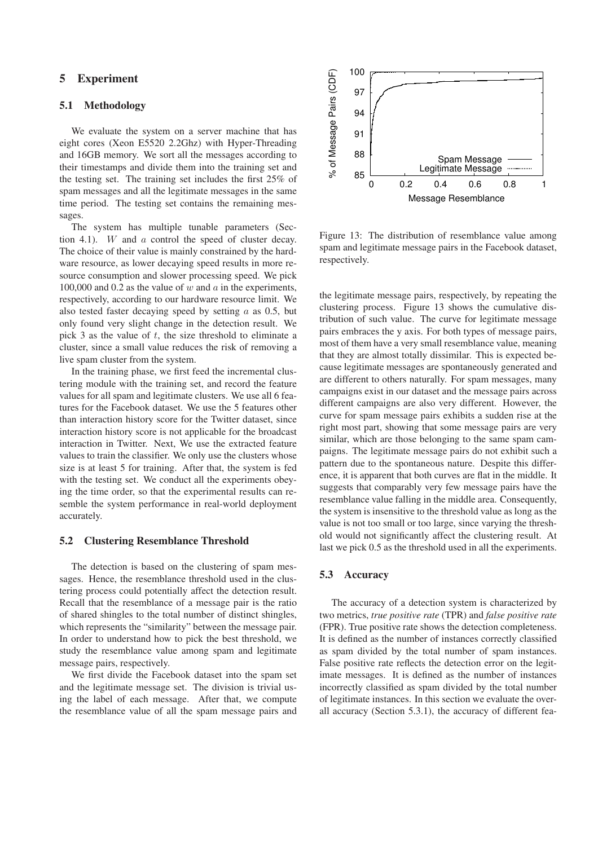### **5 Experiment**

### **5.1 Methodology**

We evaluate the system on a server machine that has eight cores (Xeon E5520 2.2Ghz) with Hyper-Threading and 16GB memory. We sort all the messages according to their timestamps and divide them into the training set and the testing set. The training set includes the first 25% of spam messages and all the legitimate messages in the same time period. The testing set contains the remaining messages.

The system has multiple tunable parameters (Section 4.1). W and a control the speed of cluster decay. The choice of their value is mainly constrained by the hardware resource, as lower decaying speed results in more resource consumption and slower processing speed. We pick 100,000 and 0.2 as the value of w and  $\alpha$  in the experiments, respectively, according to our hardware resource limit. We also tested faster decaying speed by setting  $a$  as 0.5, but only found very slight change in the detection result. We pick 3 as the value of  $t$ , the size threshold to eliminate a cluster, since a small value reduces the risk of removing a live spam cluster from the system.

In the training phase, we first feed the incremental clustering module with the training set, and record the feature values for all spam and legitimate clusters. We use all 6 features for the Facebook dataset. We use the 5 features other than interaction history score for the Twitter dataset, since interaction history score is not applicable for the broadcast interaction in Twitter. Next, We use the extracted feature values to train the classifier. We only use the clusters whose size is at least 5 for training. After that, the system is fed with the testing set. We conduct all the experiments obeying the time order, so that the experimental results can resemble the system performance in real-world deployment accurately.

#### **5.2 Clustering Resemblance Threshold**

The detection is based on the clustering of spam messages. Hence, the resemblance threshold used in the clustering process could potentially affect the detection result. Recall that the resemblance of a message pair is the ratio of shared shingles to the total number of distinct shingles, which represents the "similarity" between the message pair. In order to understand how to pick the best threshold, we study the resemblance value among spam and legitimate message pairs, respectively.

We first divide the Facebook dataset into the spam set and the legitimate message set. The division is trivial using the label of each message. After that, we compute the resemblance value of all the spam message pairs and



Figure 13: The distribution of resemblance value among spam and legitimate message pairs in the Facebook dataset, respectively.

the legitimate message pairs, respectively, by repeating the clustering process. Figure 13 shows the cumulative distribution of such value. The curve for legitimate message pairs embraces the y axis. For both types of message pairs, most of them have a very small resemblance value, meaning that they are almost totally dissimilar. This is expected because legitimate messages are spontaneously generated and are different to others naturally. For spam messages, many campaigns exist in our dataset and the message pairs across different campaigns are also very different. However, the curve for spam message pairs exhibits a sudden rise at the right most part, showing that some message pairs are very similar, which are those belonging to the same spam campaigns. The legitimate message pairs do not exhibit such a pattern due to the spontaneous nature. Despite this difference, it is apparent that both curves are flat in the middle. It suggests that comparably very few message pairs have the resemblance value falling in the middle area. Consequently, the system is insensitive to the threshold value as long as the value is not too small or too large, since varying the threshold would not significantly affect the clustering result. At last we pick 0.5 as the threshold used in all the experiments.

#### **5.3 Accuracy**

The accuracy of a detection system is characterized by two metrics, *true positive rate* (TPR) and *false positive rate* (FPR). True positive rate shows the detection completeness. It is defined as the number of instances correctly classified as spam divided by the total number of spam instances. False positive rate reflects the detection error on the legitimate messages. It is defined as the number of instances incorrectly classified as spam divided by the total number of legitimate instances. In this section we evaluate the overall accuracy (Section 5.3.1), the accuracy of different fea-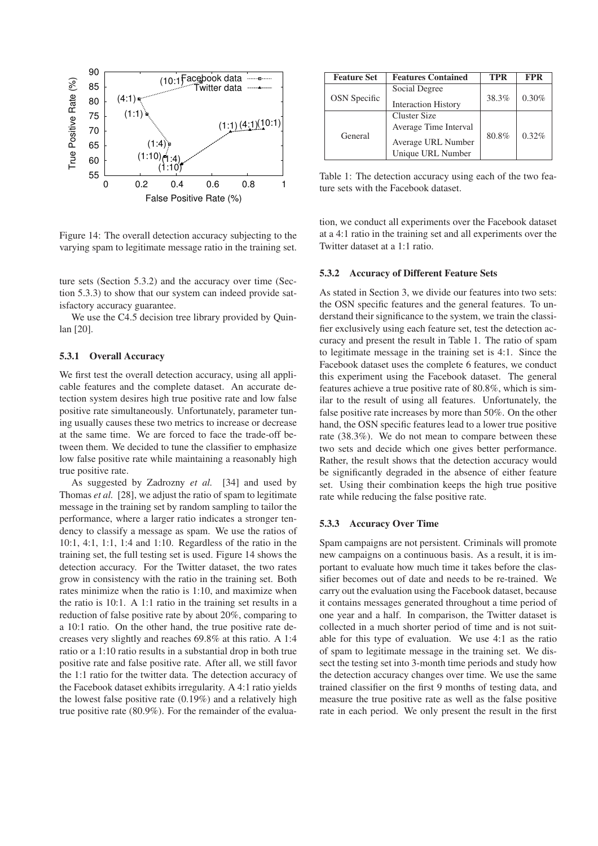

Figure 14: The overall detection accuracy subjecting to the varying spam to legitimate message ratio in the training set.

ture sets (Section 5.3.2) and the accuracy over time (Section 5.3.3) to show that our system can indeed provide satisfactory accuracy guarantee.

We use the C4.5 decision tree library provided by Quinlan [20].

#### **5.3.1 Overall Accuracy**

We first test the overall detection accuracy, using all applicable features and the complete dataset. An accurate detection system desires high true positive rate and low false positive rate simultaneously. Unfortunately, parameter tuning usually causes these two metrics to increase or decrease at the same time. We are forced to face the trade-off between them. We decided to tune the classifier to emphasize low false positive rate while maintaining a reasonably high true positive rate.

As suggested by Zadrozny *et al.* [34] and used by Thomas *et al.* [28], we adjust the ratio of spam to legitimate message in the training set by random sampling to tailor the performance, where a larger ratio indicates a stronger tendency to classify a message as spam. We use the ratios of 10:1, 4:1, 1:1, 1:4 and 1:10. Regardless of the ratio in the training set, the full testing set is used. Figure 14 shows the detection accuracy. For the Twitter dataset, the two rates grow in consistency with the ratio in the training set. Both rates minimize when the ratio is 1:10, and maximize when the ratio is 10:1. A 1:1 ratio in the training set results in a reduction of false positive rate by about 20%, comparing to a 10:1 ratio. On the other hand, the true positive rate decreases very slightly and reaches 69.8% at this ratio. A 1:4 ratio or a 1:10 ratio results in a substantial drop in both true positive rate and false positive rate. After all, we still favor the 1:1 ratio for the twitter data. The detection accuracy of the Facebook dataset exhibits irregularity. A 4:1 ratio yields the lowest false positive rate (0.19%) and a relatively high true positive rate (80.9%). For the remainder of the evalua-

| <b>Feature Set</b>  | <b>Features Contained</b>               | <b>TPR</b> | <b>FPR</b> |
|---------------------|-----------------------------------------|------------|------------|
| <b>OSN</b> Specific | Social Degree                           | 38.3%      | 0.30%      |
|                     | <b>Interaction History</b>              |            |            |
| General             | Cluster Size                            | 80.8%      | 0.32%      |
|                     | Average Time Interval                   |            |            |
|                     | Average URL Number<br>Unique URL Number |            |            |

Table 1: The detection accuracy using each of the two feature sets with the Facebook dataset.

tion, we conduct all experiments over the Facebook dataset at a 4:1 ratio in the training set and all experiments over the Twitter dataset at a 1:1 ratio.

#### **5.3.2 Accuracy of Different Feature Sets**

As stated in Section 3, we divide our features into two sets: the OSN specific features and the general features. To understand their significance to the system, we train the classifier exclusively using each feature set, test the detection accuracy and present the result in Table 1. The ratio of spam to legitimate message in the training set is 4:1. Since the Facebook dataset uses the complete 6 features, we conduct this experiment using the Facebook dataset. The general features achieve a true positive rate of 80.8%, which is similar to the result of using all features. Unfortunately, the false positive rate increases by more than 50%. On the other hand, the OSN specific features lead to a lower true positive rate (38.3%). We do not mean to compare between these two sets and decide which one gives better performance. Rather, the result shows that the detection accuracy would be significantly degraded in the absence of either feature set. Using their combination keeps the high true positive rate while reducing the false positive rate.

#### **5.3.3 Accuracy Over Time**

Spam campaigns are not persistent. Criminals will promote new campaigns on a continuous basis. As a result, it is important to evaluate how much time it takes before the classifier becomes out of date and needs to be re-trained. We carry out the evaluation using the Facebook dataset, because it contains messages generated throughout a time period of one year and a half. In comparison, the Twitter dataset is collected in a much shorter period of time and is not suitable for this type of evaluation. We use 4:1 as the ratio of spam to legitimate message in the training set. We dissect the testing set into 3-month time periods and study how the detection accuracy changes over time. We use the same trained classifier on the first 9 months of testing data, and measure the true positive rate as well as the false positive rate in each period. We only present the result in the first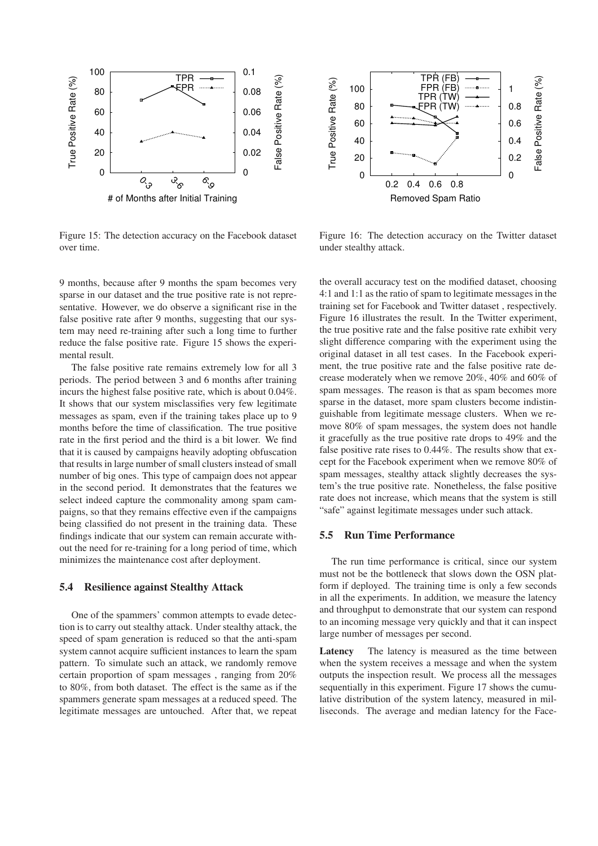

Figure 15: The detection accuracy on the Facebook dataset over time.



Figure 16: The detection accuracy on the Twitter dataset under stealthy attack.

9 months, because after 9 months the spam becomes very sparse in our dataset and the true positive rate is not representative. However, we do observe a significant rise in the false positive rate after 9 months, suggesting that our system may need re-training after such a long time to further reduce the false positive rate. Figure 15 shows the experimental result.

The false positive rate remains extremely low for all 3 periods. The period between 3 and 6 months after training incurs the highest false positive rate, which is about 0.04%. It shows that our system misclassifies very few legitimate messages as spam, even if the training takes place up to 9 months before the time of classification. The true positive rate in the first period and the third is a bit lower. We find that it is caused by campaigns heavily adopting obfuscation that results in large number of small clusters instead of small number of big ones. This type of campaign does not appear in the second period. It demonstrates that the features we select indeed capture the commonality among spam campaigns, so that they remains effective even if the campaigns being classified do not present in the training data. These findings indicate that our system can remain accurate without the need for re-training for a long period of time, which minimizes the maintenance cost after deployment.

### **5.4 Resilience against Stealthy Attack**

One of the spammers' common attempts to evade detection is to carry out stealthy attack. Under stealthy attack, the speed of spam generation is reduced so that the anti-spam system cannot acquire sufficient instances to learn the spam pattern. To simulate such an attack, we randomly remove certain proportion of spam messages , ranging from 20% to 80%, from both dataset. The effect is the same as if the spammers generate spam messages at a reduced speed. The legitimate messages are untouched. After that, we repeat the overall accuracy test on the modified dataset, choosing 4:1 and 1:1 as the ratio of spam to legitimate messages in the training set for Facebook and Twitter dataset , respectively. Figure 16 illustrates the result. In the Twitter experiment, the true positive rate and the false positive rate exhibit very slight difference comparing with the experiment using the original dataset in all test cases. In the Facebook experiment, the true positive rate and the false positive rate decrease moderately when we remove 20%, 40% and 60% of spam messages. The reason is that as spam becomes more sparse in the dataset, more spam clusters become indistinguishable from legitimate message clusters. When we remove 80% of spam messages, the system does not handle it gracefully as the true positive rate drops to 49% and the false positive rate rises to 0.44%. The results show that except for the Facebook experiment when we remove 80% of spam messages, stealthy attack slightly decreases the system's the true positive rate. Nonetheless, the false positive rate does not increase, which means that the system is still "safe" against legitimate messages under such attack.

### **5.5 Run Time Performance**

The run time performance is critical, since our system must not be the bottleneck that slows down the OSN platform if deployed. The training time is only a few seconds in all the experiments. In addition, we measure the latency and throughput to demonstrate that our system can respond to an incoming message very quickly and that it can inspect large number of messages per second.

**Latency** The latency is measured as the time between when the system receives a message and when the system outputs the inspection result. We process all the messages sequentially in this experiment. Figure 17 shows the cumulative distribution of the system latency, measured in milliseconds. The average and median latency for the Face-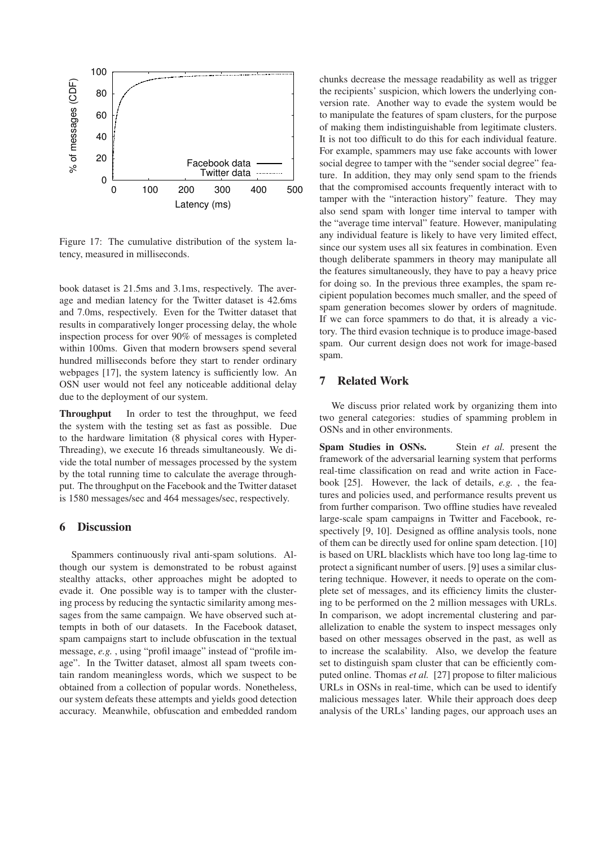

Figure 17: The cumulative distribution of the system latency, measured in milliseconds.

book dataset is 21.5ms and 3.1ms, respectively. The average and median latency for the Twitter dataset is 42.6ms and 7.0ms, respectively. Even for the Twitter dataset that results in comparatively longer processing delay, the whole inspection process for over 90% of messages is completed within 100ms. Given that modern browsers spend several hundred milliseconds before they start to render ordinary webpages [17], the system latency is sufficiently low. An OSN user would not feel any noticeable additional delay due to the deployment of our system.

**Throughput** In order to test the throughput, we feed the system with the testing set as fast as possible. Due to the hardware limitation (8 physical cores with Hyper-Threading), we execute 16 threads simultaneously. We divide the total number of messages processed by the system by the total running time to calculate the average throughput. The throughput on the Facebook and the Twitter dataset is 1580 messages/sec and 464 messages/sec, respectively.

### **6 Discussion**

Spammers continuously rival anti-spam solutions. Although our system is demonstrated to be robust against stealthy attacks, other approaches might be adopted to evade it. One possible way is to tamper with the clustering process by reducing the syntactic similarity among messages from the same campaign. We have observed such attempts in both of our datasets. In the Facebook dataset, spam campaigns start to include obfuscation in the textual message, *e.g.* , using "profil imaage" instead of "profile image". In the Twitter dataset, almost all spam tweets contain random meaningless words, which we suspect to be obtained from a collection of popular words. Nonetheless, our system defeats these attempts and yields good detection accuracy. Meanwhile, obfuscation and embedded random chunks decrease the message readability as well as trigger the recipients' suspicion, which lowers the underlying conversion rate. Another way to evade the system would be to manipulate the features of spam clusters, for the purpose of making them indistinguishable from legitimate clusters. It is not too difficult to do this for each individual feature. For example, spammers may use fake accounts with lower social degree to tamper with the "sender social degree" feature. In addition, they may only send spam to the friends that the compromised accounts frequently interact with to tamper with the "interaction history" feature. They may also send spam with longer time interval to tamper with the "average time interval" feature. However, manipulating any individual feature is likely to have very limited effect, since our system uses all six features in combination. Even though deliberate spammers in theory may manipulate all the features simultaneously, they have to pay a heavy price for doing so. In the previous three examples, the spam recipient population becomes much smaller, and the speed of spam generation becomes slower by orders of magnitude. If we can force spammers to do that, it is already a victory. The third evasion technique is to produce image-based spam. Our current design does not work for image-based spam.

# **7 Related Work**

We discuss prior related work by organizing them into two general categories: studies of spamming problem in OSNs and in other environments.

**Spam Studies in OSNs.** Stein *et al.* present the framework of the adversarial learning system that performs real-time classification on read and write action in Facebook [25]. However, the lack of details, *e.g.* , the features and policies used, and performance results prevent us from further comparison. Two offline studies have revealed large-scale spam campaigns in Twitter and Facebook, respectively [9, 10]. Designed as offline analysis tools, none of them can be directly used for online spam detection. [10] is based on URL blacklists which have too long lag-time to protect a significant number of users. [9] uses a similar clustering technique. However, it needs to operate on the complete set of messages, and its efficiency limits the clustering to be performed on the 2 million messages with URLs. In comparison, we adopt incremental clustering and parallelization to enable the system to inspect messages only based on other messages observed in the past, as well as to increase the scalability. Also, we develop the feature set to distinguish spam cluster that can be efficiently computed online. Thomas *et al.* [27] propose to filter malicious URLs in OSNs in real-time, which can be used to identify malicious messages later. While their approach does deep analysis of the URLs' landing pages, our approach uses an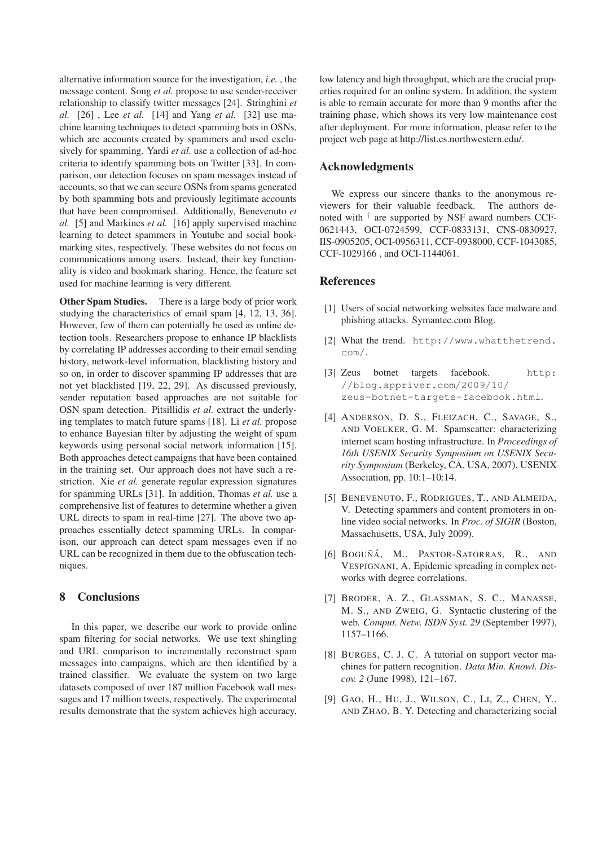alternative information source for the investigation, *i.e.* , the message content. Song *et al.* propose to use sender-receiver relationship to classify twitter messages [24]. Stringhini *et al.* [26] , Lee *et al.* [14] and Yang *et al.* [32] use machine learning techniques to detect spamming bots in OSNs, which are accounts created by spammers and used exclusively for spamming. Yardi *et al.* use a collection of ad-hoc criteria to identify spamming bots on Twitter [33]. In comparison, our detection focuses on spam messages instead of accounts, so that we can secure OSNs from spams generated by both spamming bots and previously legitimate accounts that have been compromised. Additionally, Benevenuto *et al.* [5] and Markines *et al.* [16] apply supervised machine learning to detect spammers in Youtube and social bookmarking sites, respectively. These websites do not focus on communications among users. Instead, their key functionality is video and bookmark sharing. Hence, the feature set used for machine learning is very different.

**Other Spam Studies.** There is a large body of prior work studying the characteristics of email spam [4, 12, 13, 36]. However, few of them can potentially be used as online detection tools. Researchers propose to enhance IP blacklists by correlating IP addresses according to their email sending history, network-level information, blacklisting history and so on, in order to discover spamming IP addresses that are not yet blacklisted [19, 22, 29]. As discussed previously, sender reputation based approaches are not suitable for OSN spam detection. Pitsillidis *et al.* extract the underlying templates to match future spams [18]. Li *et al.* propose to enhance Bayesian filter by adjusting the weight of spam keywords using personal social network information [15]. Both approaches detect campaigns that have been contained in the training set. Our approach does not have such a restriction. Xie *et al.* generate regular expression signatures for spamming URLs [31]. In addition, Thomas *et al.* use a comprehensive list of features to determine whether a given URL directs to spam in real-time [27]. The above two approaches essentially detect spamming URLs. In comparison, our approach can detect spam messages even if no URL can be recognized in them due to the obfuscation techniques.

# **8 Conclusions**

In this paper, we describe our work to provide online spam filtering for social networks. We use text shingling and URL comparison to incrementally reconstruct spam messages into campaigns, which are then identified by a trained classifier. We evaluate the system on two large datasets composed of over 187 million Facebook wall messages and 17 million tweets, respectively. The experimental results demonstrate that the system achieves high accuracy, low latency and high throughput, which are the crucial properties required for an online system. In addition, the system is able to remain accurate for more than 9 months after the training phase, which shows its very low maintenance cost after deployment. For more information, please refer to the project web page at http://list.cs.northwestern.edu/.

### **Acknowledgments**

We express our sincere thanks to the anonymous reviewers for their valuable feedback. The authors denoted with † are supported by NSF award numbers CCF-0621443, OCI-0724599, CCF-0833131, CNS-0830927, IIS-0905205, OCI-0956311, CCF-0938000, CCF-1043085, CCF-1029166 , and OCI-1144061.

### **References**

- [1] Users of social networking websites face malware and phishing attacks. Symantec.com Blog.
- [2] What the trend. http://www.whatthetrend. com/.
- [3] Zeus botnet targets facebook. http: //blog.appriver.com/2009/10/ zeus-botnet-targets-facebook.html.
- [4] ANDERSON, D. S., FLEIZACH, C., SAVAGE, S., AND VOELKER, G. M. Spamscatter: characterizing internet scam hosting infrastructure. In *Proceedings of 16th USENIX Security Symposium on USENIX Security Symposium* (Berkeley, CA, USA, 2007), USENIX Association, pp. 10:1–10:14.
- [5] BENEVENUTO, F., RODRIGUES, T., AND ALMEIDA, V. Detecting spammers and content promoters in online video social networks. In *Proc. of SIGIR* (Boston, Massachusetts, USA, July 2009).
- [6] BOGUÑÁ, M., PASTOR-SATORRAS, R., AND VESPIGNANI, A. Epidemic spreading in complex networks with degree correlations.
- [7] BRODER, A. Z., GLASSMAN, S. C., MANASSE, M. S., AND ZWEIG, G. Syntactic clustering of the web. *Comput. Netw. ISDN Syst. 29* (September 1997), 1157–1166.
- [8] BURGES, C. J. C. A tutorial on support vector machines for pattern recognition. *Data Min. Knowl. Discov. 2* (June 1998), 121–167.
- [9] GAO, H., HU, J., WILSON, C., LI, Z., CHEN, Y., AND ZHAO, B. Y. Detecting and characterizing social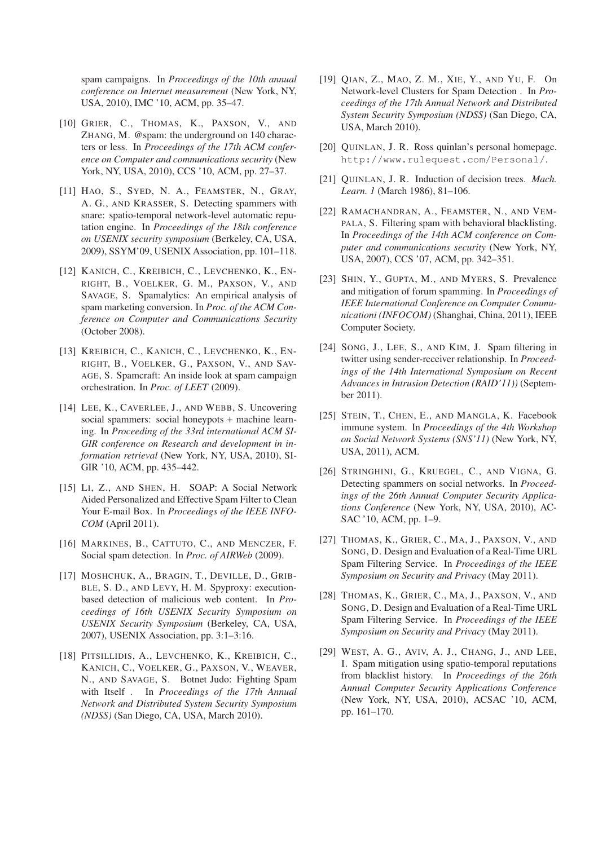spam campaigns. In *Proceedings of the 10th annual conference on Internet measurement* (New York, NY, USA, 2010), IMC '10, ACM, pp. 35–47.

- [10] GRIER, C., THOMAS, K., PAXSON, V., AND ZHANG, M. @spam: the underground on 140 characters or less. In *Proceedings of the 17th ACM conference on Computer and communications security* (New York, NY, USA, 2010), CCS '10, ACM, pp. 27–37.
- [11] HAO, S., SYED, N. A., FEAMSTER, N., GRAY, A. G., AND KRASSER, S. Detecting spammers with snare: spatio-temporal network-level automatic reputation engine. In *Proceedings of the 18th conference on USENIX security symposium* (Berkeley, CA, USA, 2009), SSYM'09, USENIX Association, pp. 101–118.
- [12] KANICH, C., KREIBICH, C., LEVCHENKO, K., EN-RIGHT, B., VOELKER, G. M., PAXSON, V., AND SAVAGE, S. Spamalytics: An empirical analysis of spam marketing conversion. In *Proc. of the ACM Conference on Computer and Communications Security* (October 2008).
- [13] KREIBICH, C., KANICH, C., LEVCHENKO, K., EN-RIGHT, B., VOELKER, G., PAXSON, V., AND SAV-AGE, S. Spamcraft: An inside look at spam campaign orchestration. In *Proc. of LEET* (2009).
- [14] LEE, K., CAVERLEE, J., AND WEBB, S. Uncovering social spammers: social honeypots + machine learning. In *Proceeding of the 33rd international ACM SI-GIR conference on Research and development in information retrieval* (New York, NY, USA, 2010), SI-GIR '10, ACM, pp. 435–442.
- [15] LI, Z., AND SHEN, H. SOAP: A Social Network Aided Personalized and Effective Spam Filter to Clean Your E-mail Box. In *Proceedings of the IEEE INFO-COM* (April 2011).
- [16] MARKINES, B., CATTUTO, C., AND MENCZER, F. Social spam detection. In *Proc. of AIRWeb* (2009).
- [17] MOSHCHUK, A., BRAGIN, T., DEVILLE, D., GRIB-BLE, S. D., AND LEVY, H. M. Spyproxy: executionbased detection of malicious web content. In *Proceedings of 16th USENIX Security Symposium on USENIX Security Symposium* (Berkeley, CA, USA, 2007), USENIX Association, pp. 3:1–3:16.
- [18] PITSILLIDIS, A., LEVCHENKO, K., KREIBICH, C., KANICH, C., VOELKER, G., PAXSON, V., WEAVER, N., AND SAVAGE, S. Botnet Judo: Fighting Spam with Itself . In *Proceedings of the 17th Annual Network and Distributed System Security Symposium (NDSS)* (San Diego, CA, USA, March 2010).
- [19] QIAN, Z., MAO, Z. M., XIE, Y., AND YU, F. On Network-level Clusters for Spam Detection . In *Proceedings of the 17th Annual Network and Distributed System Security Symposium (NDSS)* (San Diego, CA, USA, March 2010).
- [20] QUINLAN, J. R. Ross quinlan's personal homepage. http://www.rulequest.com/Personal/.
- [21] QUINLAN, J. R. Induction of decision trees. *Mach. Learn. 1* (March 1986), 81–106.
- [22] RAMACHANDRAN, A., FEAMSTER, N., AND VEM-PALA, S. Filtering spam with behavioral blacklisting. In *Proceedings of the 14th ACM conference on Computer and communications security* (New York, NY, USA, 2007), CCS '07, ACM, pp. 342–351.
- [23] SHIN, Y., GUPTA, M., AND MYERS, S. Prevalence and mitigation of forum spamming. In *Proceedings of IEEE International Conference on Computer Communicationi (INFOCOM)* (Shanghai, China, 2011), IEEE Computer Society.
- [24] SONG, J., LEE, S., AND KIM, J. Spam filtering in twitter using sender-receiver relationship. In *Proceedings of the 14th International Symposium on Recent Advances in Intrusion Detection (RAID'11))* (September 2011).
- [25] STEIN, T., CHEN, E., AND MANGLA, K. Facebook immune system. In *Proceedings of the 4th Workshop on Social Network Systems (SNS'11)* (New York, NY, USA, 2011), ACM.
- [26] STRINGHINI, G., KRUEGEL, C., AND VIGNA, G. Detecting spammers on social networks. In *Proceedings of the 26th Annual Computer Security Applications Conference* (New York, NY, USA, 2010), AC-SAC '10, ACM, pp. 1–9.
- [27] THOMAS, K., GRIER, C., MA, J., PAXSON, V., AND SONG, D. Design and Evaluation of a Real-Time URL Spam Filtering Service. In *Proceedings of the IEEE Symposium on Security and Privacy* (May 2011).
- [28] THOMAS, K., GRIER, C., MA, J., PAXSON, V., AND SONG, D. Design and Evaluation of a Real-Time URL Spam Filtering Service. In *Proceedings of the IEEE Symposium on Security and Privacy* (May 2011).
- [29] WEST, A. G., AVIV, A. J., CHANG, J., AND LEE, I. Spam mitigation using spatio-temporal reputations from blacklist history. In *Proceedings of the 26th Annual Computer Security Applications Conference* (New York, NY, USA, 2010), ACSAC '10, ACM, pp. 161–170.